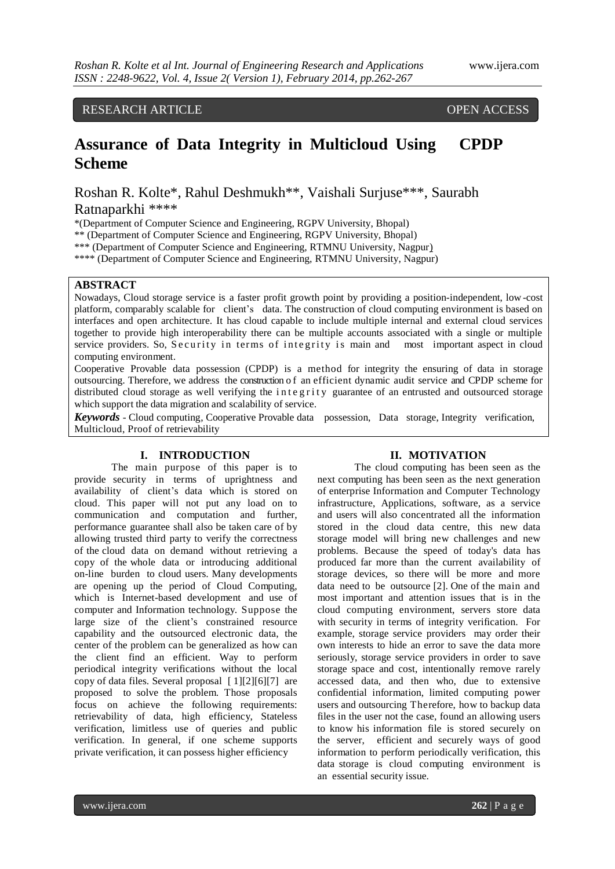## RESEARCH ARTICLE OPEN ACCESS

# **Assurance of Data Integrity in Multicloud Using CPDP Scheme**

Roshan R. Kolte\*, Rahul Deshmukh\*\*, Vaishali Surjuse\*\*\*, Saurabh

Ratnaparkhi \*\*\*\*

\*(Department of Computer Science and Engineering, RGPV University, Bhopal)

\*\* (Department of Computer Science and Engineering, RGPV University, Bhopal)

\*\*\* (Department of Computer Science and Engineering, RTMNU University, Nagpur)

\*\*\*\* (Department of Computer Science and Engineering, RTMNU University, Nagpur)

## **ABSTRACT**

Nowadays, Cloud storage service is a faster profit growth point by providing a position-independent, low -cost platform, comparably scalable for client's data. The construction of cloud computing environment is based on interfaces and open architecture. It has cloud capable to include multiple internal and external cloud services together to provide high interoperability there can be multiple accounts associated with a single or multiple service providers. So, Security in terms of integrity is main and most important aspect in cloud computing environment.

Cooperative Provable data possession (CPDP) is a method for integrity the ensuring of data in storage outsourcing. Therefore, we address the construction o f an efficient dynamic audit service and CPDP scheme for distributed cloud storage as well verifying the integrity guarantee of an entrusted and outsourced storage which support the data migration and scalability of service.

*Keywords* - Cloud computing, Cooperative Provable data possession, Data storage, Integrity verification, Multicloud, Proof of retrievability

#### **I. INTRODUCTION**

The main purpose of this paper is to provide security in terms of uprightness and availability of client's data which is stored on cloud. This paper will not put any load on to communication and computation and further, performance guarantee shall also be taken care of by allowing trusted third party to verify the correctness of the cloud data on demand without retrieving a copy of the whole data or introducing additional on-line burden to cloud users. Many developments are opening up the period of Cloud Computing, which is Internet-based development and use of computer and Information technology. Suppose the large size of the client's constrained resource capability and the outsourced electronic data, the center of the problem can be generalized as how can the client find an efficient. Way to perform periodical integrity verifications without the local copy of data files. Several proposal [ 1][2][6][7] are proposed to solve the problem. Those proposals focus on achieve the following requirements: retrievability of data, high efficiency, Stateless verification, limitless use of queries and public verification. In general, if one scheme supports private verification, it can possess higher efficiency

### **II. MOTIVATION**

The cloud computing has been seen as the next computing has been seen as the next generation of enterprise Information and Computer Technology infrastructure, Applications, software, as a service and users will also concentrated all the information stored in the cloud data centre, this new data storage model will bring new challenges and new problems. Because the speed of today's data has produced far more than the current availability of storage devices, so there will be more and more data need to be outsource [2]. One of the main and most important and attention issues that is in the cloud computing environment, servers store data with security in terms of integrity verification. For example, storage service providers may order their own interests to hide an error to save the data more seriously, storage service providers in order to save storage space and cost, intentionally remove rarely accessed data, and then who, due to extensive confidential information, limited computing power users and outsourcing Therefore, how to backup data files in the user not the case, found an allowing users to know his information file is stored securely on the server, efficient and securely ways of good information to perform periodically verification, this data storage is cloud computing environment is an essential security issue.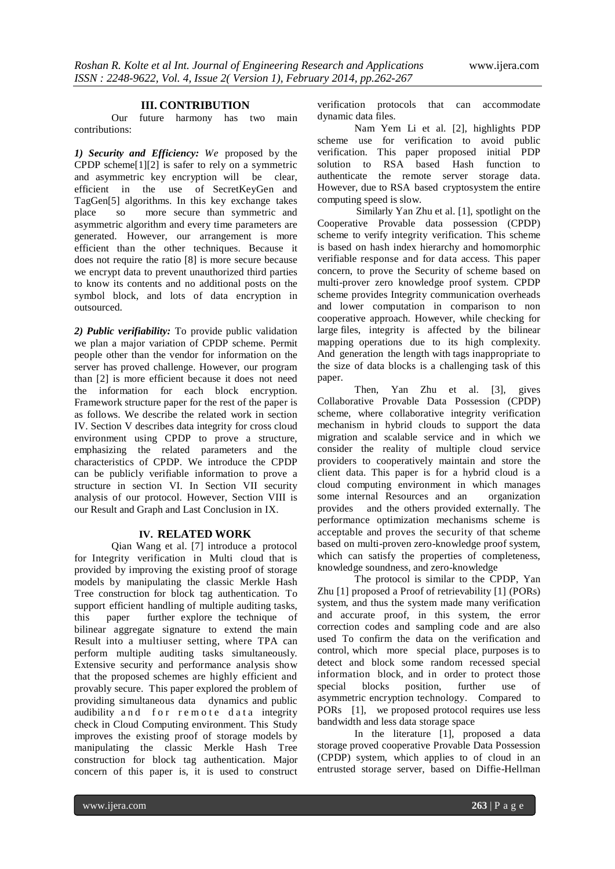#### **III. CONTRIBUTION**

Our future harmony has two main contributions:

*1) Security and Efficiency: We* proposed by the CPDP scheme[1][2] is safer to rely on a symmetric and asymmetric key encryption will be clear, efficient in the use of SecretKeyGen and TagGen[5] algorithms. In this key exchange takes place so more secure than symmetric and asymmetric algorithm and every time parameters are generated. However, our arrangement is more efficient than the other techniques. Because it does not require the ratio [8] is more secure because we encrypt data to prevent unauthorized third parties to know its contents and no additional posts on the symbol block, and lots of data encryption in outsourced.

*2) Public verifiability:* To provide public validation we plan a major variation of CPDP scheme. Permit people other than the vendor for information on the server has proved challenge. However, our program than [2] is more efficient because it does not need the information for each block encryption. Framework structure paper for the rest of the paper is as follows. We describe the related work in section IV. Section V describes data integrity for cross cloud environment using CPDP to prove a structure, emphasizing the related parameters and the characteristics of CPDP. We introduce the CPDP can be publicly verifiable information to prove a structure in section VI. In Section VII security analysis of our protocol. However, Section VIII is our Result and Graph and Last Conclusion in IX.

#### **IV. RELATED WORK**

Qian Wang et al. [7] introduce a protocol for Integrity verification in Multi cloud that is provided by improving the existing proof of storage models by manipulating the classic Merkle Hash Tree construction for block tag authentication. To support efficient handling of multiple auditing tasks, this paper further explore the technique of bilinear aggregate signature to extend the main Result into a multiuser setting, where TPA can perform multiple auditing tasks simultaneously. Extensive security and performance analysis show that the proposed schemes are highly efficient and provably secure. This paper explored the problem of providing simultaneous data dynamics and public audibility and for remote data integrity check in Cloud Computing environment. This Study improves the existing proof of storage models by manipulating the classic Merkle Hash Tree construction for block tag authentication. Major concern of this paper is, it is used to construct

verification protocols that can accommodate dynamic data files.

Nam Yem Li et al. [2], highlights PDP scheme use for verification to avoid public verification. This paper proposed initial PDP solution to RSA based Hash function to authenticate the remote server storage data. However, due to RSA based cryptosystem the entire computing speed is slow.

 Similarly Yan Zhu et al. [1], spotlight on the Cooperative Provable data possession (CPDP) scheme to verify integrity verification. This scheme is based on hash index hierarchy and homomorphic verifiable response and for data access. This paper concern, to prove the Security of scheme based on multi-prover zero knowledge proof system. CPDP scheme provides Integrity communication overheads and lower computation in comparison to non cooperative approach. However, while checking for large files, integrity is affected by the bilinear mapping operations due to its high complexity. And generation the length with tags inappropriate to the size of data blocks is a challenging task of this paper.

Then, Yan Zhu et al. [3], gives Collaborative Provable Data Possession (CPDP) scheme, where collaborative integrity verification mechanism in hybrid clouds to support the data migration and scalable service and in which we consider the reality of multiple cloud service providers to cooperatively maintain and store the client data. This paper is for a hybrid cloud is a cloud computing environment in which manages some internal Resources and an organization provides and the others provided externally. The performance optimization mechanisms scheme is acceptable and proves the security of that scheme based on multi-proven zero-knowledge proof system, which can satisfy the properties of completeness, knowledge soundness, and zero-knowledge

The protocol is similar to the CPDP, Yan Zhu [1] proposed a Proof of retrievability [1] (PORs) system, and thus the system made many verification and accurate proof, in this system, the error correction codes and sampling code and are also used To confirm the data on the verification and control, which more special place, purposes is to detect and block some random recessed special information block, and in order to protect those special blocks position, further use of asymmetric encryption technology. Compared to PORs [1], we proposed protocol requires use less bandwidth and less data storage space

In the literature [1], proposed a data storage proved cooperative Provable Data Possession (CPDP) system, which applies to of cloud in an entrusted storage server, based on Diffie-Hellman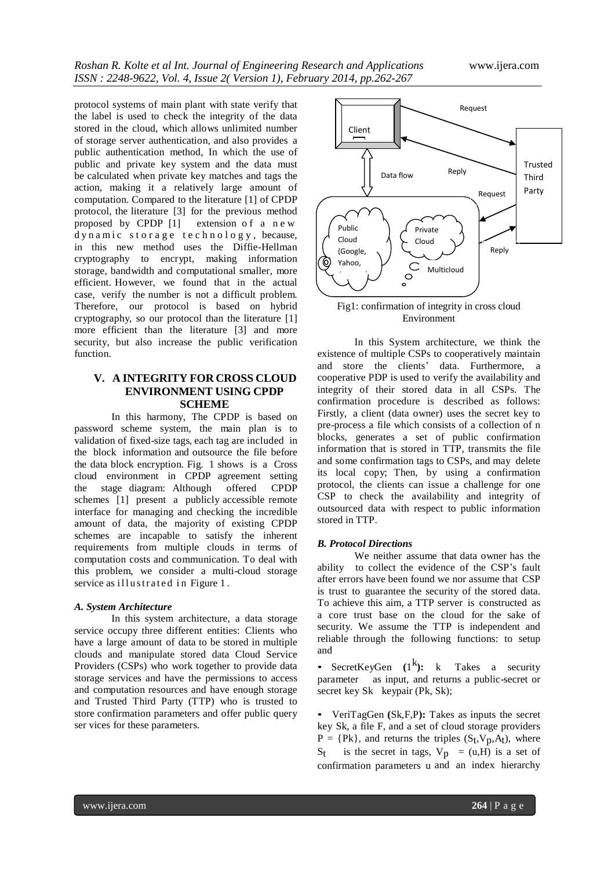protocol systems of main plant with state verify that the label is used to check the integrity of the data stored in the cloud, which allows unlimited number of storage server authentication, and also provides a public authentication method, In which the use of public and private key system and the data must be calculated when private key matches and tags the action, making it a relatively large amount of computation. Compared to the literature [1] of CPDP protocol, the literature [3] for the previous method proposed by CPDP [1] extension of a new d y n a mic storage technology, because, in this new method uses the Diffie-Hellman cryptography to encrypt, making information storage, bandwidth and computational smaller, more efficient. However, we found that in the actual case, verify the number is not a difficult problem. Therefore, our protocol is based on hybrid cryptography, so our protocol than the literature [1] more efficient than the literature [3] and more security, but also increase the public verification function.

## **V. A INTEGRITY FOR CROSS CLOUD ENVIRONMENT USING CPDP SCHEME**

In this harmony, The CPDP is based on password scheme system, the main plan is to validation of fixed-size tags, each tag are included in the block information and outsource the file before the data block encryption. Fig. 1 shows is a Cross cloud environment in CPDP agreement setting the stage diagram: Although offered CPDP schemes [1] present a publicly accessible remote interface for managing and checking the incredible amount of data, the majority of existing CPDP schemes are incapable to satisfy the inherent requirements from multiple clouds in terms of computation costs and communication. To deal with this problem, we consider a multi-cloud storage service as illustrated in Figure 1.

#### *A. System Architecture*

In this system architecture, a data storage service occupy three different entities: Clients who have a large amount of data to be stored in multiple clouds and manipulate stored data Cloud Service Providers (CSPs) who work together to provide data storage services and have the permissions to access and computation resources and have enough storage and Trusted Third Party (TTP) who is trusted to store confirmation parameters and offer public query ser vices for these parameters.



Fig1: confirmation of integrity in cross cloud Environment

In this System architecture, we think the existence of multiple CSPs to cooperatively maintain and store the clients' data. Furthermore, a cooperative PDP is used to verify the availability and integrity of their stored data in all CSPs. The confirmation procedure is described as follows: Firstly, a client (data owner) uses the secret key to pre-process a file which consists of a collection of n blocks, generates a set of public confirmation information that is stored in TTP, transmits the file and some confirmation tags to CSPs, and may delete its local copy; Then, by using a confirmation protocol, the clients can issue a challenge for one CSP to check the availability and integrity of outsourced data with respect to public information stored in TTP.

#### *B. Protocol Directions*

We neither assume that data owner has the ability to collect the evidence of the CSP's fault after errors have been found we nor assume that CSP is trust to guarantee the security of the stored data. To achieve this aim, a TTP server is constructed as a core trust base on the cloud for the sake of security. We assume the TTP is independent and reliable through the following functions: to setup and

• SecretKeyGen (1<sup>k</sup>): k Takes a security parameter as input, and returns a public-secret or secret key Sk keypair (Pk, Sk);

• VeriTagGen **(**Sk,F,P**):** Takes as inputs the secret key Sk, a file F, and a set of cloud storage providers  $P = {Pk}$ , and returns the triples  $(S_t, V_p, A_t)$ , where  $S_t$  is the secret in tags,  $V_p = (u,H)$  is a set of confirmation parameters u and an index hierarchy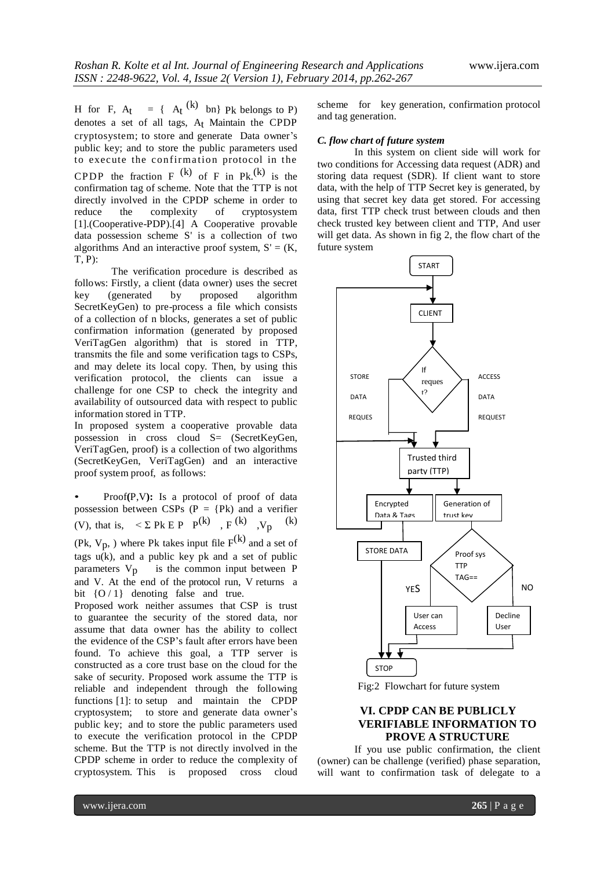H for F,  $A_t = \{ A_t^{(k)} \text{ bn} \}$  Pk belongs to P) denotes a set of all tags, At Maintain the CPDP cryptosystem; to store and generate Data owner's public key; and to store the public parameters used to execute the confirmation protocol in the CPDP the fraction  $F^{(k)}$  of F in Pk.<sup>(k)</sup> is the confirmation tag of scheme. Note that the TTP is not directly involved in the CPDP scheme in order to reduce the complexity of cryptosystem [1].(Cooperative-PDP).[4] A Cooperative provable data possession scheme S' is a collection of two algorithms And an interactive proof system,  $S' = (K,$ T, P):

The verification procedure is described as follows: Firstly, a client (data owner) uses the secret key (generated by proposed algorithm SecretKeyGen) to pre-process a file which consists of a collection of n blocks, generates a set of public confirmation information (generated by proposed VeriTagGen algorithm) that is stored in TTP, transmits the file and some verification tags to CSPs, and may delete its local copy. Then, by using this verification protocol, the clients can issue a challenge for one CSP to check the integrity and availability of outsourced data with respect to public information stored in TTP.

In proposed system a cooperative provable data possession in cross cloud S= (SecretKeyGen, VeriTagGen, proof) is a collection of two algorithms (SecretKeyGen, VeriTagGen) and an interactive proof system proof, as follows:

• Proof**(**P,V**):** Is a protocol of proof of data possession between CSPs  $(P = {Pk})$  and a verifier (V), that is,  $\leq \sum Pk \in P \quad P^{(k)} \quad F^{(k)} \quad V_p$ (k)

(Pk,  $V_p$ , ) where Pk takes input file  $F^{(k)}$  and a set of tags  $u(k)$ , and a public key pk and a set of public parameters  $V_p$  is the common input between P and V. At the end of the protocol run, V returns a bit  ${O/1}$  denoting false and true.

Proposed work neither assumes that CSP is trust to guarantee the security of the stored data, nor assume that data owner has the ability to collect the evidence of the CSP's fault after errors have been found. To achieve this goal, a TTP server is constructed as a core trust base on the cloud for the sake of security. Proposed work assume the TTP is reliable and independent through the following functions [1]: to setup and maintain the CPDP cryptosystem; to store and generate data owner's public key; and to store the public parameters used to execute the verification protocol in the CPDP scheme. But the TTP is not directly involved in the CPDP scheme in order to reduce the complexity of cryptosystem. This is proposed cross cloud

scheme for key generation, confirmation protocol and tag generation.

#### *C. flow chart of future system*

In this system on client side will work for two conditions for Accessing data request (ADR) and storing data request (SDR). If client want to store data, with the help of TTP Secret key is generated, by using that secret key data get stored. For accessing data, first TTP check trust between clouds and then check trusted key between client and TTP, And user will get data. As shown in fig 2, the flow chart of the future system





## **VI. CPDP CAN BE PUBLICLY VERIFIABLE INFORMATION TO PROVE A STRUCTURE**

If you use public confirmation, the client (owner) can be challenge (verified) phase separation, will want to confirmation task of delegate to a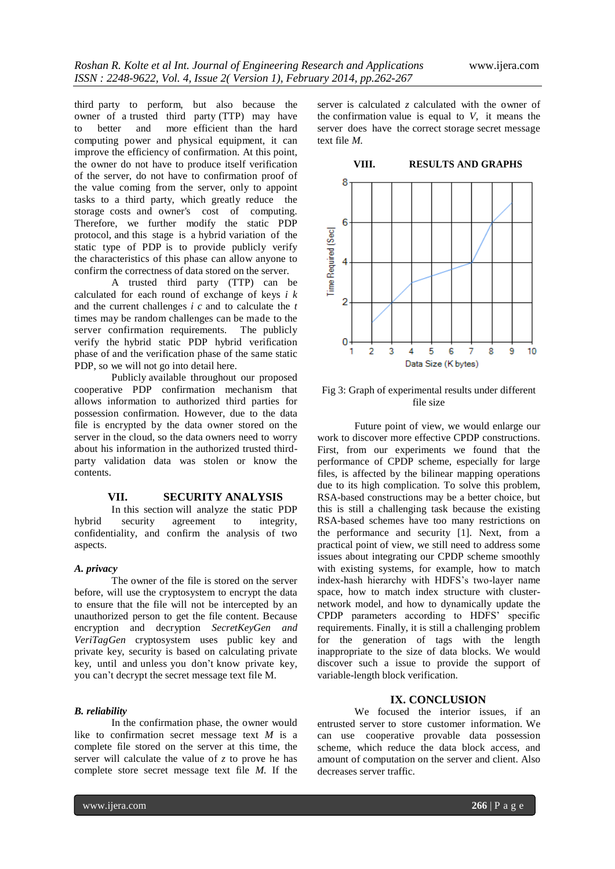third party to perform, but also because the owner of a trusted third party (TTP) may have to better and more efficient than the hard computing power and physical equipment, it can improve the efficiency of confirmation. At this point, the owner do not have to produce itself verification of the server, do not have to confirmation proof of the value coming from the server, only to appoint tasks to a third party, which greatly reduce the storage costs and owner's cost of computing. Therefore, we further modify the static PDP protocol, and this stage is a hybrid variation of the static type of PDP is to provide publicly verify the characteristics of this phase can allow anyone to confirm the correctness of data stored on the server.

A trusted third party (TTP) can be calculated for each round of exchange of keys *i k* and the current challenges *i c* and to calculate the *t* times may be random challenges can be made to the server confirmation requirements. The publicly verify the hybrid static PDP hybrid verification phase of and the verification phase of the same static PDP, so we will not go into detail here.

Publicly available throughout our proposed cooperative PDP confirmation mechanism that allows information to authorized third parties for possession confirmation. However, due to the data file is encrypted by the data owner stored on the server in the cloud, so the data owners need to worry about his information in the authorized trusted thirdparty validation data was stolen or know the contents.

## **VII. SECURITY ANALYSIS**

In this section will analyze the static PDP hybrid security agreement to integrity, confidentiality, and confirm the analysis of two aspects.

## *A. privacy*

The owner of the file is stored on the server before, will use the cryptosystem to encrypt the data to ensure that the file will not be intercepted by an unauthorized person to get the file content. Because encryption and decryption *SecretKeyGen and VeriTagGen* cryptosystem uses public key and private key, security is based on calculating private key, until and unless you don't know private key, you can't decrypt the secret message text file M.

#### *B. reliability*

In the confirmation phase, the owner would like to confirmation secret message text *M* is a complete file stored on the server at this time, the server will calculate the value of *z* to prove he has complete store secret message text file *M.* If the server is calculated *z* calculated with the owner of the confirmation value is equal to *V,* it means the server does have the correct storage secret message text file *M.*



Fig 3: Graph of experimental results under different file size

Future point of view, we would enlarge our work to discover more effective CPDP constructions. First, from our experiments we found that the performance of CPDP scheme, especially for large files, is affected by the bilinear mapping operations due to its high complication. To solve this problem, RSA-based constructions may be a better choice, but this is still a challenging task because the existing RSA-based schemes have too many restrictions on the performance and security [1]. Next, from a practical point of view, we still need to address some issues about integrating our CPDP scheme smoothly with existing systems, for example, how to match index-hash hierarchy with HDFS's two-layer name space, how to match index structure with clusternetwork model, and how to dynamically update the CPDP parameters according to HDFS' specific requirements. Finally, it is still a challenging problem for the generation of tags with the length inappropriate to the size of data blocks. We would discover such a issue to provide the support of variable-length block verification.

## **IX. CONCLUSION**

We focused the interior issues, if an entrusted server to store customer information. We can use cooperative provable data possession scheme, which reduce the data block access, and amount of computation on the server and client. Also decreases server traffic.